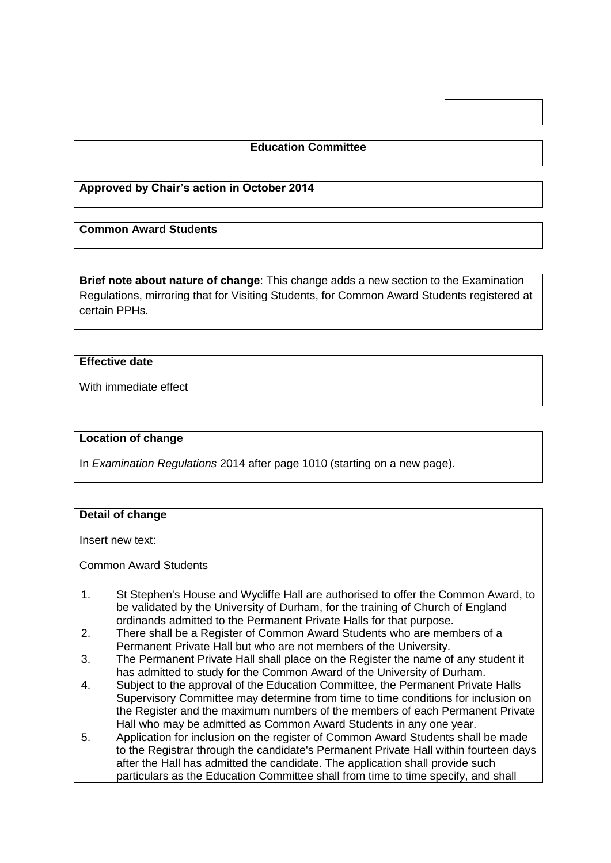## **Education Committee**

### **Approved by Chair's action in October 2014**

## **Common Award Students**

**Brief note about nature of change**: This change adds a new section to the Examination Regulations, mirroring that for Visiting Students, for Common Award Students registered at certain PPHs.

#### **Effective date**

With immediate effect

#### **Location of change**

In *Examination Regulations* 2014 after page 1010 (starting on a new page).

#### **Detail of change**

Insert new text:

Common Award Students

- 1. St Stephen's House and Wycliffe Hall are authorised to offer the Common Award, to be validated by the University of Durham, for the training of Church of England ordinands admitted to the Permanent Private Halls for that purpose.
- 2. There shall be a Register of Common Award Students who are members of a Permanent Private Hall but who are not members of the University.
- 3. The Permanent Private Hall shall place on the Register the name of any student it has admitted to study for the Common Award of the University of Durham.
- 4. Subject to the approval of the Education Committee, the Permanent Private Halls Supervisory Committee may determine from time to time conditions for inclusion on the Register and the maximum numbers of the members of each Permanent Private Hall who may be admitted as Common Award Students in any one year.
- 5. Application for inclusion on the register of Common Award Students shall be made to the Registrar through the candidate's Permanent Private Hall within fourteen days after the Hall has admitted the candidate. The application shall provide such particulars as the Education Committee shall from time to time specify, and shall